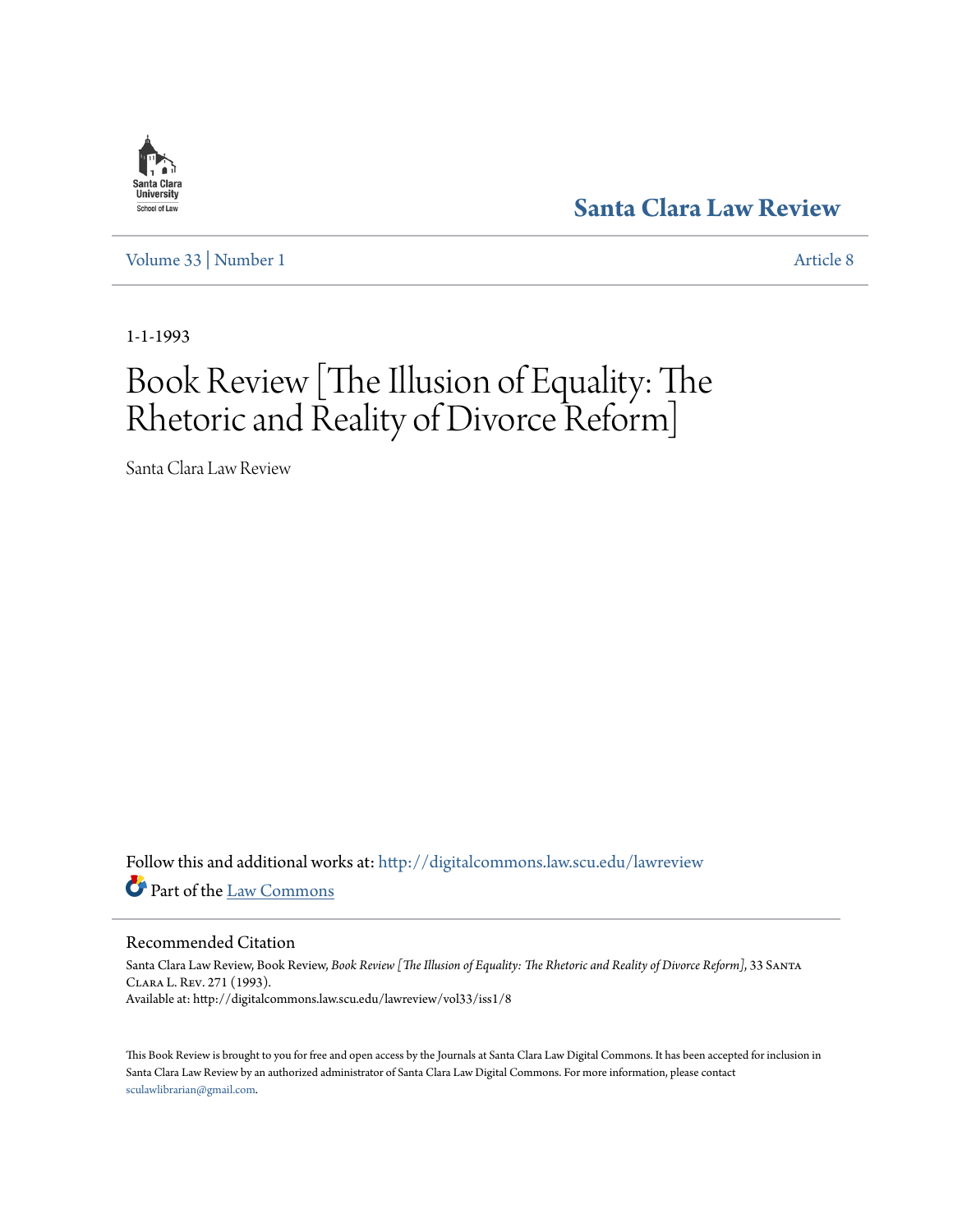### Santa Clara **University** School of Law

[Volume 33](http://digitalcommons.law.scu.edu/lawreview/vol33?utm_source=digitalcommons.law.scu.edu%2Flawreview%2Fvol33%2Fiss1%2F8&utm_medium=PDF&utm_campaign=PDFCoverPages) | [Number 1](http://digitalcommons.law.scu.edu/lawreview/vol33/iss1?utm_source=digitalcommons.law.scu.edu%2Flawreview%2Fvol33%2Fiss1%2F8&utm_medium=PDF&utm_campaign=PDFCoverPages) [Article 8](http://digitalcommons.law.scu.edu/lawreview/vol33/iss1/8?utm_source=digitalcommons.law.scu.edu%2Flawreview%2Fvol33%2Fiss1%2F8&utm_medium=PDF&utm_campaign=PDFCoverPages)

## **[Santa Clara Law Review](http://digitalcommons.law.scu.edu/lawreview?utm_source=digitalcommons.law.scu.edu%2Flawreview%2Fvol33%2Fiss1%2F8&utm_medium=PDF&utm_campaign=PDFCoverPages)**

1-1-1993

# Book Review [The Illusion of Equality: The Rhetoric and Reality of Divorce Reform]

Santa Clara Law Review

Follow this and additional works at: [http://digitalcommons.law.scu.edu/lawreview](http://digitalcommons.law.scu.edu/lawreview?utm_source=digitalcommons.law.scu.edu%2Flawreview%2Fvol33%2Fiss1%2F8&utm_medium=PDF&utm_campaign=PDFCoverPages) Part of the [Law Commons](http://network.bepress.com/hgg/discipline/578?utm_source=digitalcommons.law.scu.edu%2Flawreview%2Fvol33%2Fiss1%2F8&utm_medium=PDF&utm_campaign=PDFCoverPages)

Recommended Citation

Santa Clara Law Review, Book Review, *Book Review [The Illusion of Equality: The Rhetoric and Reality of Divorce Reform]*, 33 Santa Clara L. Rev. 271 (1993). Available at: http://digitalcommons.law.scu.edu/lawreview/vol33/iss1/8

This Book Review is brought to you for free and open access by the Journals at Santa Clara Law Digital Commons. It has been accepted for inclusion in Santa Clara Law Review by an authorized administrator of Santa Clara Law Digital Commons. For more information, please contact [sculawlibrarian@gmail.com](mailto:sculawlibrarian@gmail.com).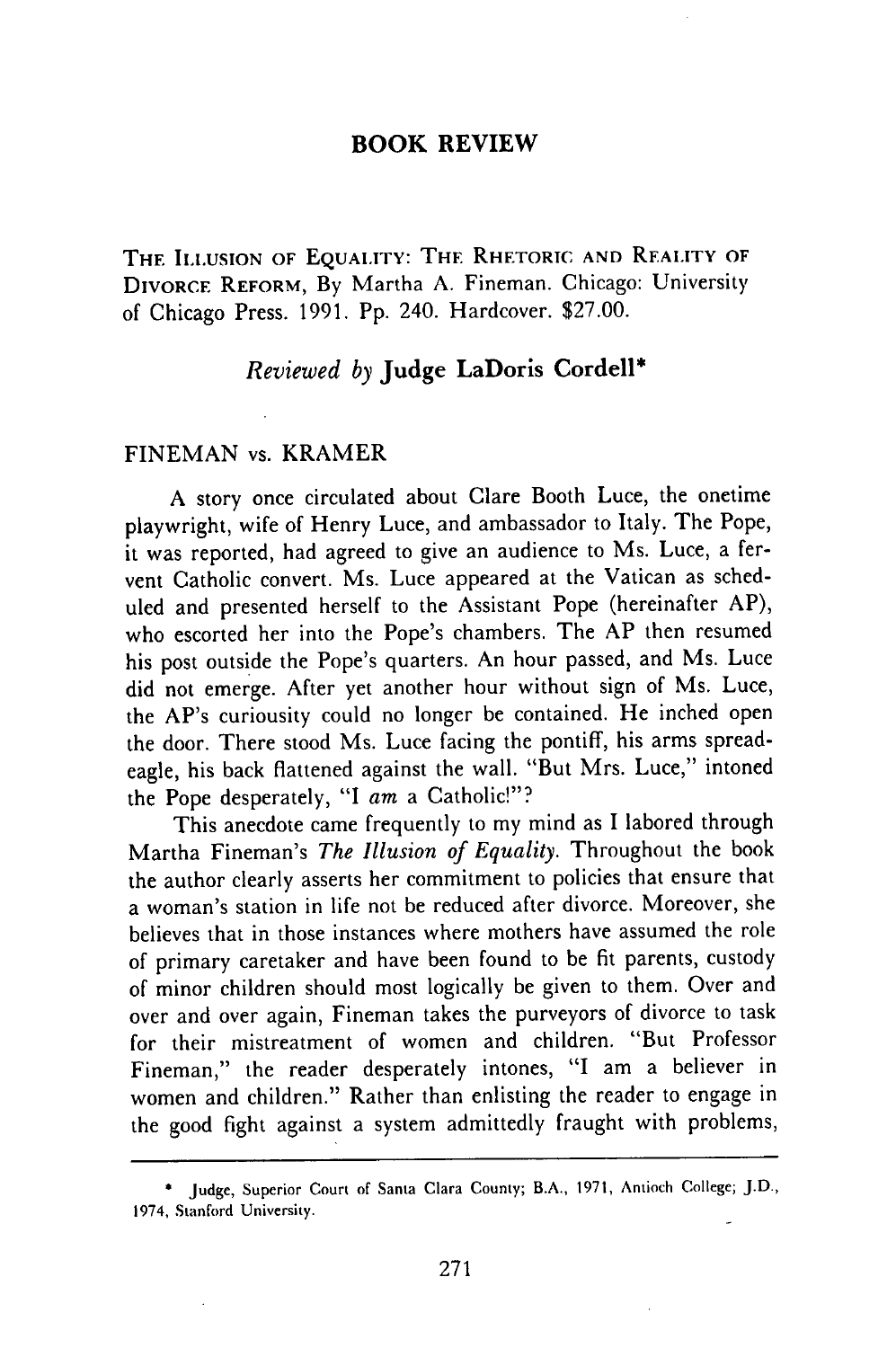#### **BOOK REVIEW**

**THE** ILLUSION **OF** EQUAIITY: **THE** RHETORIC **AND REAI.ITY OF** DIVORCE **REFORM,** By Martha A. Fineman. Chicago: University of Chicago Press. 1991. Pp. 240. Hardcover. \$27.00.

#### *Reviewed by* Judge LaDoris Cordell\*

#### FINEMAN vs. KRAMER

A story once circulated about Clare Booth Luce, the onetime playwright, wife of Henry Luce, and ambassador to Italy. The Pope, it was reported, had agreed to give an audience to Ms. Luce, a fervent Catholic convert. Ms. Luce appeared at the Vatican as scheduled and presented herself to the Assistant Pope (hereinafter AP), who escorted her into the Pope's chambers. The AP then resumed his post outside the Pope's quarters. An hour passed, and Ms. Luce did not emerge. After yet another hour without sign of Ms. Luce, the AP's curiousity could no longer be contained. He inched open the door. There stood Ms. Luce facing the pontiff, his arms spreadeagle, his back flattened against the wall. "But Mrs. Luce," intoned the Pope desperately, **"I** *am* a Catholic!"?

This anecdote came frequently to my mind as **I** labored through Martha Fineman's *The Illusion of Equality.* Throughout the book the author clearly asserts her commitment to policies that ensure that a woman's station in life not be reduced after divorce. Moreover, she believes that in those instances where mothers have assumed the role of primary caretaker and have been found to be fit parents, custody of minor children should most logically be given to them. Over and over and over again, Fineman takes the purveyors of divorce to task for their mistreatment of women and children. "But Professor Fineman," the reader desperately intones, **"I** am a believer in women and children." Rather than enlisting the reader to engage in the good fight against a system admittedly fraught with problems,

Judge, Superior Court of Santa Clara County; B.A., 1971, Antioch College; J.D., 1974, Stanford University.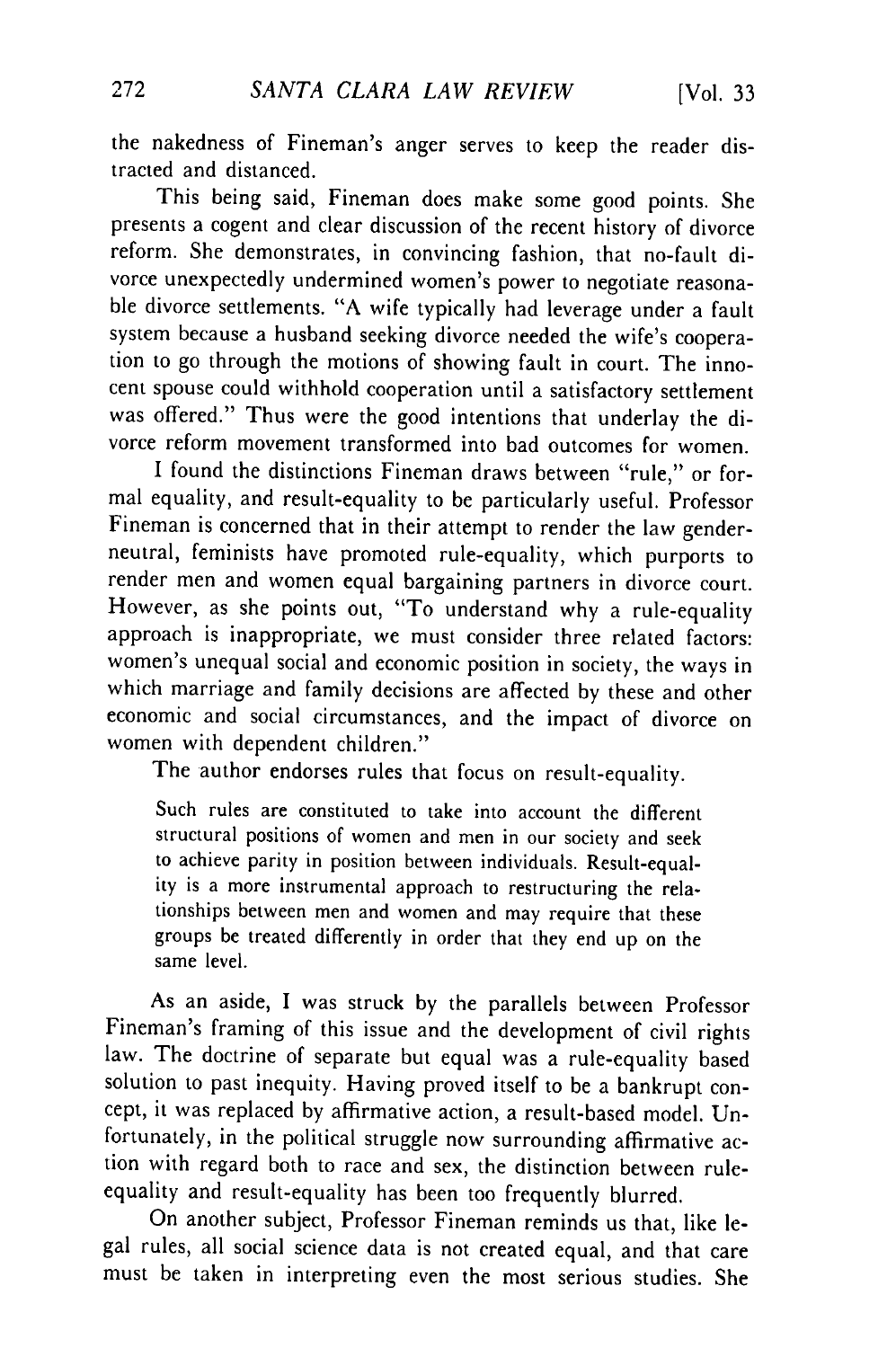the nakedness of Fineman's anger serves to keep the reader distracted and distanced.

This being said, Fineman does make some good points. She presents a cogent and clear discussion of the recent history of divorce reform. She demonstrates, in convincing fashion, that no-fault divorce unexpectedly undermined women's power to negotiate reasonable divorce settlements. "A wife typically had leverage under a fault system because a husband seeking divorce needed the wife's cooperation to go through the motions of showing fault in court. The innocent spouse could withhold cooperation until a satisfactory settlement was offered." Thus were the good intentions that underlay the divorce reform movement transformed into bad outcomes for women.

I found the distinctions Fineman draws between "rule," or formal equality, and result-equality to be particularly useful. Professor Fineman is concerned that in their attempt to render the law genderneutral, feminists have promoted rule-equality, which purports to render men and women equal bargaining partners in divorce court. However, as she points out, "To understand why a rule-equality approach is inappropriate, we must consider three related factors: women's unequal social and economic position in society, the ways in which marriage and family decisions are affected by these and other economic and social circumstances, and the impact of divorce on women with dependent children."

The author endorses rules that focus on result-equality.

Such rules are constituted to take into account the different structural positions of women and men in our society and seek to achieve parity in position between individuals. Result-equality is a more instrumental approach to restructuring the relationships between men and women and may require that these groups be treated differently in order that they end up on the same level.

As an aside, I was struck by the parallels between Professor Fineman's framing of this issue and the development of civil rights law. The doctrine of separate but equal was a rule-equality based solution to past inequity. Having proved itself to be a bankrupt concept, it was replaced by affirmative action, a result-based model. Unfortunately, in the political struggle now surrounding affirmative action with regard both to race and sex, the distinction between ruleequality and result-equality has been too frequently blurred.

On another subject, Professor Fineman reminds us that, like legal rules, all social science data is not created equal, and that care must be taken in interpreting even the most serious studies. She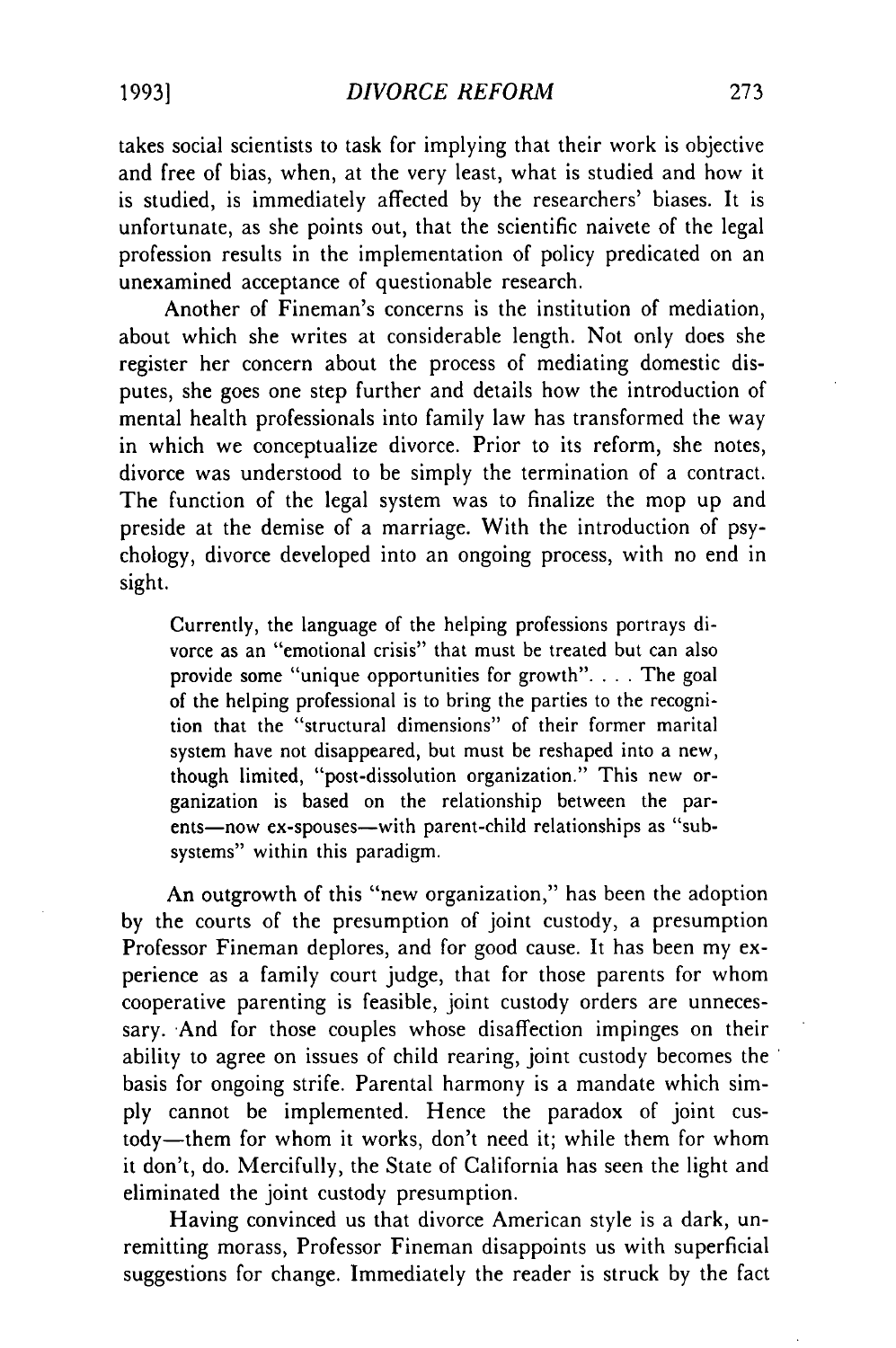takes social scientists to task for implying that their work is objective and free of bias, when, at the very least, what is studied and how it is studied, is immediately affected by the researchers' biases. It is unfortunate, as she points out, that the scientific naivete of the legal profession results in the implementation of policy predicated on an unexamined acceptance of questionable research.

Another of Fineman's concerns is the institution of mediation, about which she writes at considerable length. Not only does she register her concern about the process of mediating domestic disputes, she goes one step further and details how the introduction of mental health professionals into family law has transformed the way in which we conceptualize divorce. Prior to its reform, she notes, divorce was understood to be simply the termination of a contract. The function of the legal system was to finalize the mop up and preside at the demise of a marriage. With the introduction of psychology, divorce developed into an ongoing process, with no end in sight.

Currently, the language of the helping professions portrays divorce as an "emotional crisis" that must be treated but can also provide some "unique opportunities for growth". **. .** . The goal of the helping professional is to bring the parties to the recognition that the "structural dimensions" of their former marital system have not disappeared, but must be reshaped into a new, though limited, "post-dissolution organization." This new organization is based on the relationship between the parents-now ex-spouses-with parent-child relationships as "subsystems" within this paradigm.

An outgrowth of this "new organization," has been the adoption by the courts of the presumption of joint custody, a presumption Professor Fineman deplores, and for good cause. It has been my experience as a family court judge, that for those parents for whom cooperative parenting is feasible, joint custody orders are unnecessary. And for those couples whose disaffection impinges on their ability to agree on issues of child rearing, joint custody becomes the basis for ongoing strife. Parental harmony is a mandate which simply cannot be implemented. Hence the paradox of joint custody-them for whom it works, don't need it; while them for whom it don't, do. Mercifully, the State of California has seen the light and eliminated the joint custody presumption.

Having convinced us that divorce American style is a dark, unremitting morass, Professor Fineman disappoints us with superficial suggestions for change. Immediately the reader is struck by the fact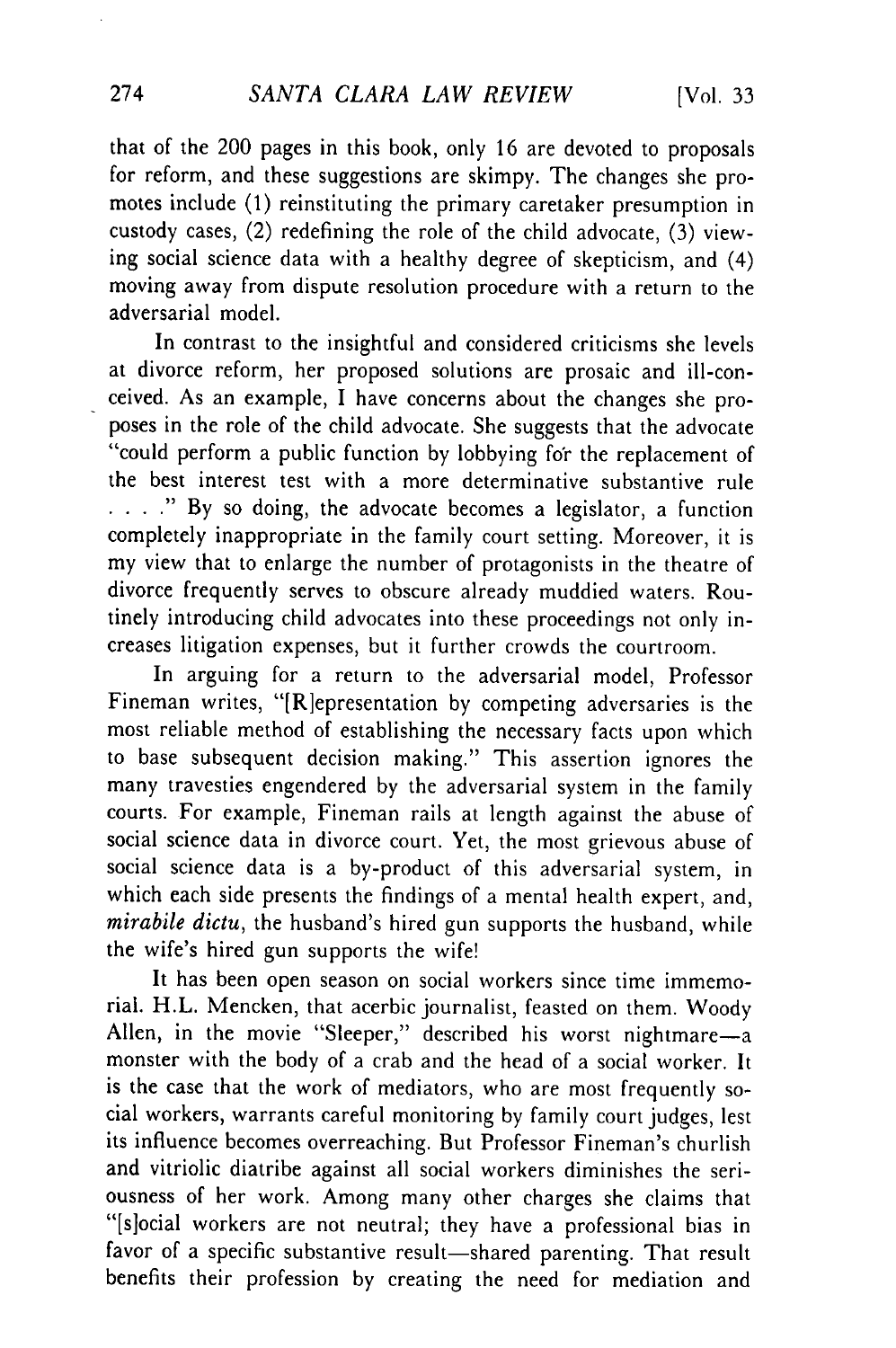that of the 200 pages in this book, only 16 are devoted to proposals for reform, and these suggestions are skimpy. The changes she promotes include **(1)** reinstituting the primary caretaker presumption in custody cases, (2) redefining the role of the child advocate, (3) viewing social science data with a healthy degree of skepticism, and (4) moving away from dispute resolution procedure with a return to the adversarial model.

In contrast to the insightful and considered criticisms she levels at divorce reform, her proposed solutions are prosaic and ill-conceived. As an example, I have concerns about the changes she proposes in the role of the child advocate. She suggests that the advocate "could perform a public function by lobbying for the replacement of the best interest test with a more determinative substantive rule **. ...** " By so doing, the advocate becomes a legislator, a function completely inappropriate in the family court setting. Moreover, it is my view that to enlarge the number of protagonists in the theatre of divorce frequently serves to obscure already muddied waters. Routinely introducing child advocates into these proceedings not only increases litigation expenses, but it further crowds the courtroom.

In arguing for a return to the adversarial model, Professor Fineman writes, "[R]epresentation by competing adversaries is the most reliable method of establishing the necessary facts upon which to base subsequent decision making." This assertion ignores the many travesties engendered by the adversarial system in the family courts. For example, Fineman rails at length against the abuse of social science data in divorce court. Yet, the most grievous abuse of social science data is a by-product of this adversarial system, in which each side presents the findings of a mental health expert, and, *mirabile dictu,* the husband's hired gun supports the husband, while the wife's hired gun supports the wife!

It has been open season on social workers since time immemorial. H.L. Mencken, that acerbic journalist, feasted on them. Woody Allen, in the movie "Sleeper," described his worst nightmare-a monster with the body of a crab and the head of a social worker. It is the case that the work of mediators, who are most frequently social workers, warrants careful monitoring by family court judges, lest its influence becomes overreaching. But Professor Fineman's churlish and vitriolic diatribe against all social workers diminishes the seriousness of her work. Among many other charges she claims that "[slocial workers are not neutral; they have a professional bias in favor of a specific substantive result-shared parenting. That result benefits their profession by creating the need for mediation and